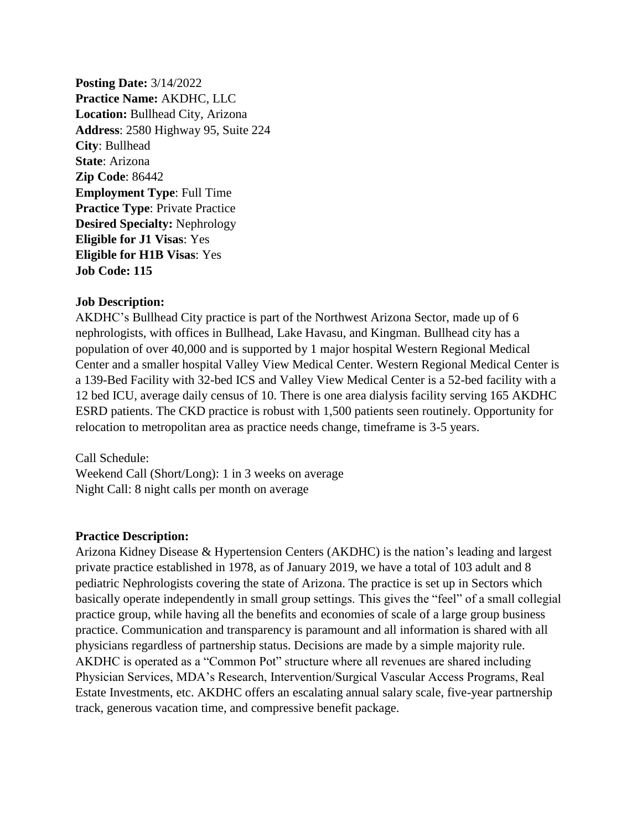**Posting Date:** 3/14/2022 **Practice Name:** AKDHC, LLC **Location:** Bullhead City, Arizona **Address**: 2580 Highway 95, Suite 224 **City**: Bullhead **State**: Arizona **Zip Code**: 86442 **Employment Type**: Full Time **Practice Type: Private Practice Desired Specialty:** Nephrology **Eligible for J1 Visas**: Yes **Eligible for H1B Visas**: Yes **Job Code: 115**

## **Job Description:**

AKDHC's Bullhead City practice is part of the Northwest Arizona Sector, made up of 6 nephrologists, with offices in Bullhead, Lake Havasu, and Kingman. Bullhead city has a population of over 40,000 and is supported by 1 major hospital Western Regional Medical Center and a smaller hospital Valley View Medical Center. Western Regional Medical Center is a 139-Bed Facility with 32-bed ICS and Valley View Medical Center is a 52-bed facility with a 12 bed ICU, average daily census of 10. There is one area dialysis facility serving 165 AKDHC ESRD patients. The CKD practice is robust with 1,500 patients seen routinely. Opportunity for relocation to metropolitan area as practice needs change, timeframe is 3-5 years.

Call Schedule: Weekend Call (Short/Long): 1 in 3 weeks on average Night Call: 8 night calls per month on average

## **Practice Description:**

Arizona Kidney Disease & Hypertension Centers (AKDHC) is the nation's leading and largest private practice established in 1978, as of January 2019, we have a total of 103 adult and 8 pediatric Nephrologists covering the state of Arizona. The practice is set up in Sectors which basically operate independently in small group settings. This gives the "feel" of a small collegial practice group, while having all the benefits and economies of scale of a large group business practice. Communication and transparency is paramount and all information is shared with all physicians regardless of partnership status. Decisions are made by a simple majority rule. AKDHC is operated as a "Common Pot" structure where all revenues are shared including Physician Services, MDA's Research, Intervention/Surgical Vascular Access Programs, Real Estate Investments, etc. AKDHC offers an escalating annual salary scale, five-year partnership track, generous vacation time, and compressive benefit package.